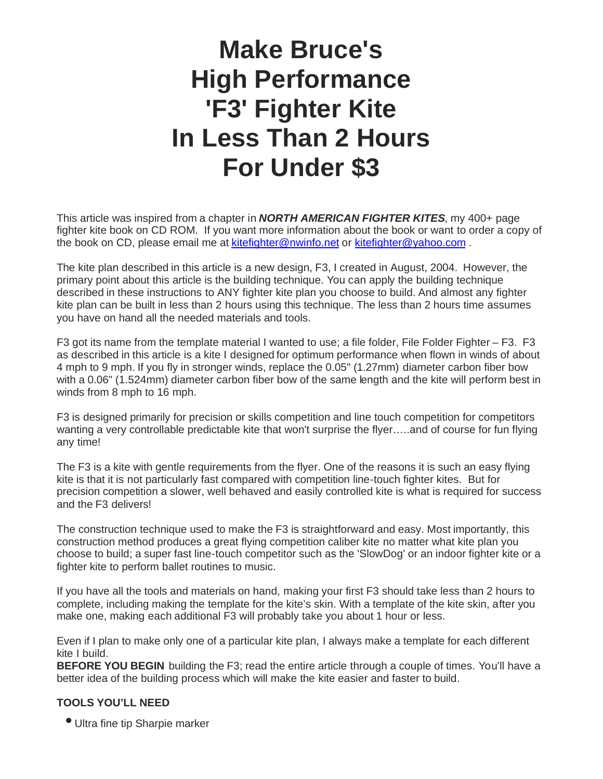# **Make Bruce's High Performance 'F3' Fighter Kite In Less Than 2 Hours For Under \$3**

This article was inspired from a chapter in *NORTH AMERICAN FIGHTER KITES*, my 400+ page fighter kite book on CD ROM. If you want more information about the book or want to order a copy of the book on CD, please email me at kitefighter@nwinfo.net or kitefighter@yahoo.com .

The kite plan described in this article is a new design, F3, I created in August, 2004. However, the primary point about this article is the building technique. You can apply the building technique described in these instructions to ANY fighter kite plan you choose to build. And almost any fighter kite plan can be built in less than 2 hours using this technique. The less than 2 hours time assumes you have on hand all the needed materials and tools.

F3 got its name from the template material I wanted to use; a file folder, File Folder Fighter – F3. F3 as described in this article is a kite I designed for optimum performance when flown in winds of about 4 mph to 9 mph. If you fly in stronger winds, replace the 0.05" (1.27mm) diameter carbon fiber bow with a 0.06" (1.524mm) diameter carbon fiber bow of the same length and the kite will perform best in winds from 8 mph to 16 mph.

F3 is designed primarily for precision or skills competition and line touch competition for competitors wanting a very controllable predictable kite that won't surprise the flyer…..and of course for fun flying any time!

The F3 is a kite with gentle requirements from the flyer. One of the reasons it is such an easy flying kite is that it is not particularly fast compared with competition line-touch fighter kites. But for precision competition a slower, well behaved and easily controlled kite is what is required for success and the F3 delivers!

The construction technique used to make the F3 is straightforward and easy. Most importantly, this construction method produces a great flying competition caliber kite no matter what kite plan you choose to build; a super fast line-touch competitor such as the 'SlowDog' or an indoor fighter kite or a fighter kite to perform ballet routines to music.

If you have all the tools and materials on hand, making your first F3 should take less than 2 hours to complete, including making the template for the kite's skin. With a template of the kite skin, after you make one, making each additional F3 will probably take you about 1 hour or less.

Even if I plan to make only one of a particular kite plan, I always make a template for each different kite I build.

**BEFORE YOU BEGIN** building the F3; read the entire article through a couple of times. You'll have a better idea of the building process which will make the kite easier and faster to build.

### **TOOLS YOU'LL NEED**

• Ultra fine tip Sharpie marker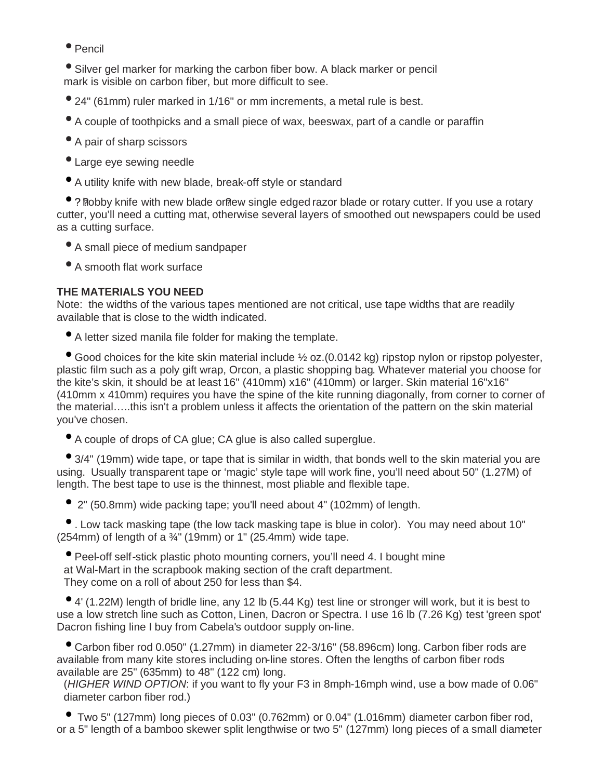• Pencil

• Silver gel marker for marking the carbon fiber bow. A black marker or pencil mark is visible on carbon fiber, but more difficult to see.

- 24" (61mm) ruler marked in 1/16" or mm increments, a metal rule is best.
- A couple of toothpicks and a small piece of wax, beeswax, part of a candle or paraffin
- A pair of sharp scissors
- Large eye sewing needle
- A utility knife with new blade, break-off style or standard

 $\bullet$  ? Robby knife with new blade or ew single edged razor blade or rotary cutter. If you use a rotary cutter, you'll need a cutting mat, otherwise several layers of smoothed out newspapers could be used as a cutting surface.

- A small piece of medium sandpaper
- A smooth flat work surface

#### **THE MATERIALS YOU NEED**

Note: the widths of the various tapes mentioned are not critical, use tape widths that are readily available that is close to the width indicated.

• A letter sized manila file folder for making the template.

● Good choices for the kite skin material include ½ oz. (0.0142 kg) ripstop nylon or ripstop polyester, plastic film such as a poly gift wrap, Orcon, a plastic shopping bag. Whatever material you choose for the kite's skin, it should be at least 16" (410mm) x16" (410mm) or larger. Skin material 16"x16" (410mm x 410mm) requires you have the spine of the kite running diagonally, from corner to corner of the material…..this isn't a problem unless it affects the orientation of the pattern on the skin material you've chosen.

• A couple of drops of CA glue; CA glue is also called superglue.

• 3/4" (19mm) wide tape, or tape that is similar in width, that bonds well to the skin material you are using. Usually transparent tape or 'magic' style tape will work fine, you'll need about 50" (1.27M) of length. The best tape to use is the thinnest, most pliable and flexible tape.

• 2" (50.8mm) wide packing tape; you'll need about 4" (102mm) of length.

• . Low tack masking tape (the low tack masking tape is blue in color). You may need about 10" (254mm) of length of a  $\frac{3}{4}$ " (19mm) or 1" (25.4mm) wide tape.

• Peel-off self-stick plastic photo mounting corners, you'll need 4. I bought mine at Wal-Mart in the scrapbook making section of the craft department. They come on a roll of about 250 for less than \$4.

• 4' (1.22M) length of bridle line, any 12 lb (5.44 Kg) test line or stronger will work, but it is best to use a low stretch line such as Cotton, Linen, Dacron or Spectra. I use 16 lb (7.26 Kg) test 'green spot' Dacron fishing line I buy from Cabela's outdoor supply on-line.

• Carbon fiber rod 0.050" (1.27mm) in diameter 22-3/16" (58.896cm) long. Carbon fiber rods are available from many kite stores including on-line stores. Often the lengths of carbon fiber rods available are 25" (635mm) to 48" (122 cm) long.

(*HIGHER WIND OPTION*: if you want to fly your F3 in 8mph-16mph wind, use a bow made of 0.06" diameter carbon fiber rod.)

• Two 5" (127mm) long pieces of 0.03" (0.762mm) or 0.04" (1.016mm) diameter carbon fiber rod, or a 5" length of a bamboo skewer split lengthwise or two 5" (127mm) long pieces of a small diameter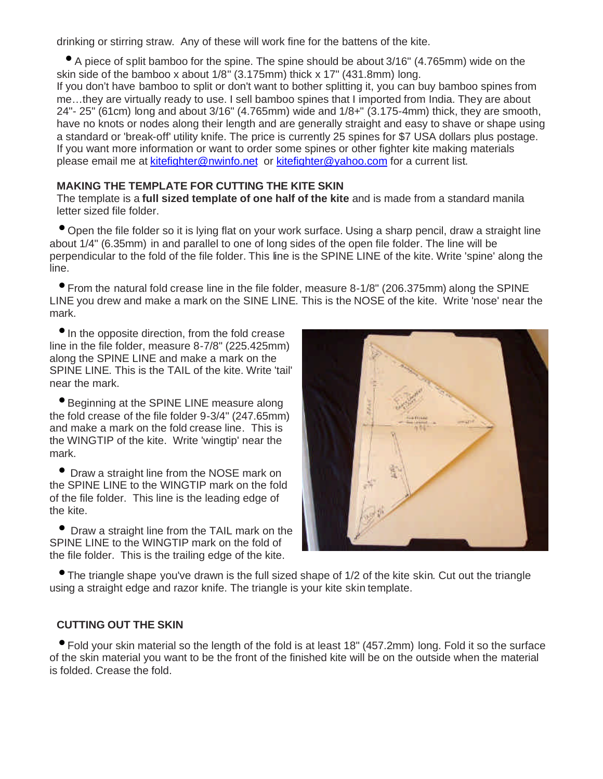drinking or stirring straw. Any of these will work fine for the battens of the kite.

• A piece of split bamboo for the spine. The spine should be about 3/16" (4.765mm) wide on the skin side of the bamboo x about 1/8" (3.175mm) thick x 17" (431.8mm) long.

If you don't have bamboo to split or don't want to bother splitting it, you can buy bamboo spines from me…they are virtually ready to use. I sell bamboo spines that I imported from India. They are about 24"- 25" (61cm) long and about 3/16" (4.765mm) wide and 1/8+" (3.175-4mm) thick, they are smooth, have no knots or nodes along their length and are generally straight and easy to shave or shape using a standard or 'break-off' utility knife. The price is currently 25 spines for \$7 USA dollars plus postage. If you want more information or want to order some spines or other fighter kite making materials please email me at **kitefighter@nwinfo.net** or **kitefighter@yahoo.com** for a current list.

#### **MAKING THE TEMPLATE FOR CUTTING THE KITE SKIN**

The template is a **full sized template of one half of the kite** and is made from a standard manila letter sized file folder.

• Open the file folder so it is lying flat on your work surface. Using a sharp pencil, draw a straight line about 1/4" (6.35mm) in and parallel to one of long sides of the open file folder. The line will be perpendicular to the fold of the file folder. This line is the SPINE LINE of the kite. Write 'spine' along the line.

• From the natural fold crease line in the file folder, measure 8-1/8" (206.375mm) along the SPINE LINE you drew and make a mark on the SINE LINE. This is the NOSE of the kite. Write 'nose' near the mark.

• In the opposite direction, from the fold crease line in the file folder, measure 8-7/8" (225.425mm) along the SPINE LINE and make a mark on the SPINE LINE. This is the TAIL of the kite. Write 'tail' near the mark.

• Beginning at the SPINE LINE measure along the fold crease of the file folder 9-3/4" (247.65mm) and make a mark on the fold crease line. This is the WINGTIP of the kite. Write 'wingtip' near the mark.

• Draw a straight line from the NOSE mark on the SPINE LINE to the WINGTIP mark on the fold of the file folder. This line is the leading edge of the kite.

• Draw a straight line from the TAIL mark on the SPINE LINE to the WINGTIP mark on the fold of the file folder. This is the trailing edge of the kite.



• The triangle shape you've drawn is the full sized shape of 1/2 of the kite skin. Cut out the triangle using a straight edge and razor knife. The triangle is your kite skin template.

#### **CUTTING OUT THE SKIN**

• Fold your skin material so the length of the fold is at least 18" (457.2mm) long. Fold it so the surface of the skin material you want to be the front of the finished kite will be on the outside when the material is folded. Crease the fold.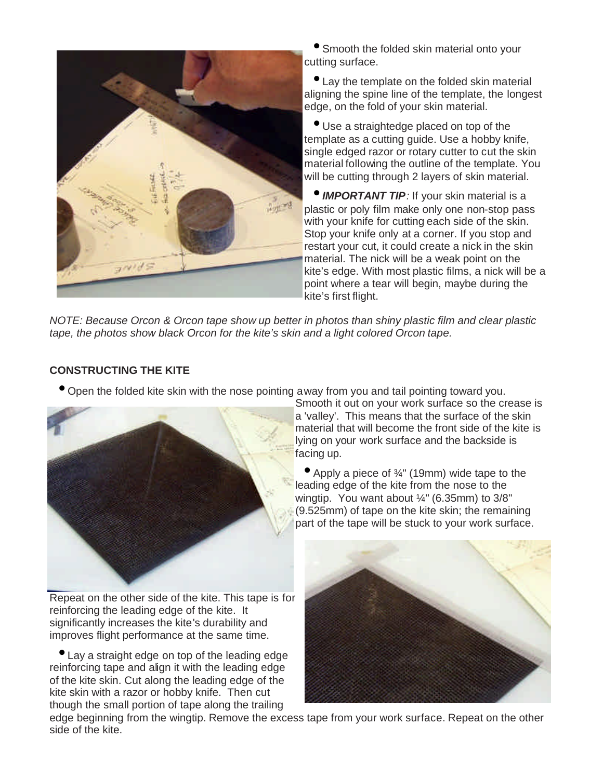

• Smooth the folded skin material onto your cutting surface.

• Lay the template on the folded skin material aligning the spine line of the template, the longest edge, on the fold of your skin material.

• Use a straightedge placed on top of the template as a cutting guide. Use a hobby knife, single edged razor or rotary cutter to cut the skin material following the outline of the template. You will be cutting through 2 layers of skin material.

• *IMPORTANT TIP:* If your skin material is a plastic or poly film make only one non-stop pass with your knife for cutting each side of the skin. Stop your knife only at a corner. If you stop and restart your cut, it could create a nick in the skin material. The nick will be a weak point on the kite's edge. With most plastic films, a nick will be a point where a tear will begin, maybe during the kite's first flight.

*NOTE: Because Orcon & Orcon tape show up better in photos than shiny plastic film and clear plastic tape, the photos show black Orcon for the kite's skin and a light colored Orcon tape.*

#### **CONSTRUCTING THE KITE**

• Open the folded kite skin with the nose pointing away from you and tail pointing toward you.



Smooth it out on your work surface so the crease is a 'valley'. This means that the surface of the skin material that will become the front side of the kite is lying on your work surface and the backside is facing up.

• Apply a piece of ¾" (19mm) wide tape to the leading edge of the kite from the nose to the wingtip. You want about ¼" (6.35mm) to 3/8" (9.525mm) of tape on the kite skin; the remaining part of the tape will be stuck to your work surface.

Repeat on the other side of the kite. This tape is for reinforcing the leading edge of the kite. It significantly increases the kite's durability and improves flight performance at the same time.

• Lay a straight edge on top of the leading edge reinforcing tape and align it with the leading edge of the kite skin. Cut along the leading edge of the kite skin with a razor or hobby knife. Then cut though the small portion of tape along the trailing



edge beginning from the wingtip. Remove the excess tape from your work surface. Repeat on the other side of the kite.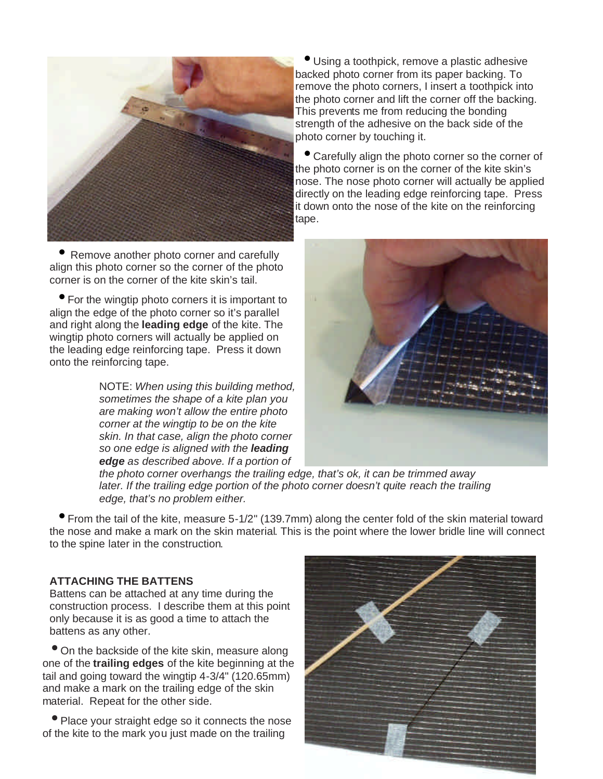

• Remove another photo corner and carefully align this photo corner so the corner of the photo corner is on the corner of the kite skin's tail.

• For the wingtip photo corners it is important to align the edge of the photo corner so it's parallel and right along the **leading edge** of the kite. The wingtip photo corners will actually be applied on the leading edge reinforcing tape. Press it down onto the reinforcing tape.

> NOTE: *When using this building method, sometimes the shape of a kite plan you are making won't allow the entire photo corner at the wingtip to be on the kite skin. In that case, align the photo corner so one edge is aligned with the leading edge as described above. If a portion of*

• Using a toothpick, remove a plastic adhesive backed photo corner from its paper backing. To remove the photo corners, I insert a toothpick into the photo corner and lift the corner off the backing. This prevents me from reducing the bonding strength of the adhesive on the back side of the photo corner by touching it.

• Carefully align the photo corner so the corner of the photo corner is on the corner of the kite skin's nose. The nose photo corner will actually be applied directly on the leading edge reinforcing tape. Press it down onto the nose of the kite on the reinforcing tape.



*the photo corner overhangs the trailing edge, that's ok, it can be trimmed away later. If the trailing edge portion of the photo corner doesn't quite reach the trailing edge, that's no problem either.*

• From the tail of the kite, measure 5-1/2" (139.7mm) along the center fold of the skin material toward the nose and make a mark on the skin material. This is the point where the lower bridle line will connect to the spine later in the construction.

#### **ATTACHING THE BATTENS**

Battens can be attached at any time during the construction process. I describe them at this point only because it is as good a time to attach the battens as any other.

• On the backside of the kite skin, measure along one of the **trailing edges** of the kite beginning at the tail and going toward the wingtip 4-3/4" (120.65mm) and make a mark on the trailing edge of the skin material. Repeat for the other side.

• Place your straight edge so it connects the nose of the kite to the mark you just made on the trailing

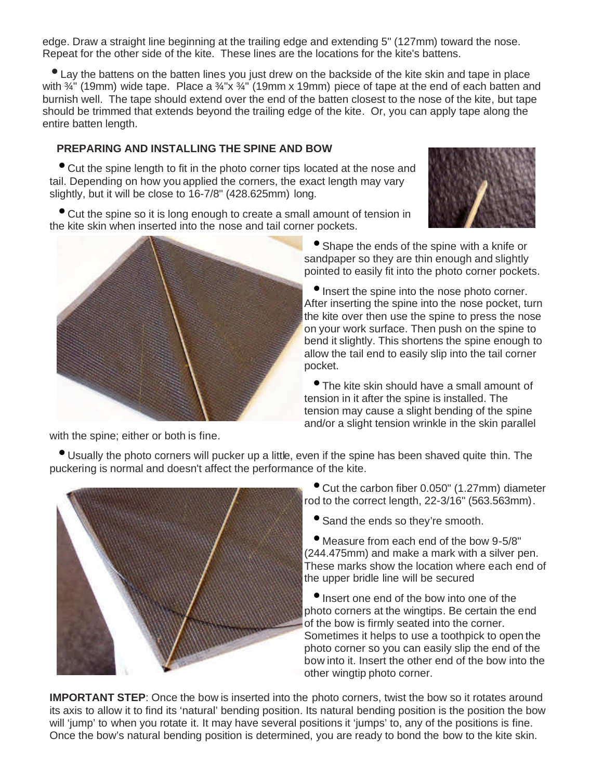edge. Draw a straight line beginning at the trailing edge and extending 5" (127mm) toward the nose. Repeat for the other side of the kite. These lines are the locations for the kite's battens.

• Lay the battens on the batten lines you just drew on the backside of the kite skin and tape in place with  $\frac{3}{4}$ " (19mm) wide tape. Place a  $\frac{3}{4}$ "x  $\frac{3}{4}$ " (19mm x 19mm) piece of tape at the end of each batten and burnish well. The tape should extend over the end of the batten closest to the nose of the kite, but tape should be trimmed that extends beyond the trailing edge of the kite. Or, you can apply tape along the entire batten length.

# **PREPARING AND INSTALLING THE SPINE AND BOW**

• Cut the spine length to fit in the photo corner tips located at the nose and tail. Depending on how you applied the corners, the exact length may vary slightly, but it will be close to 16-7/8" (428.625mm) long.





• Shape the ends of the spine with a knife or sandpaper so they are thin enough and slightly pointed to easily fit into the photo corner pockets.

• Insert the spine into the nose photo corner. After inserting the spine into the nose pocket, turn the kite over then use the spine to press the nose on your work surface. Then push on the spine to bend it slightly. This shortens the spine enough to allow the tail end to easily slip into the tail corner pocket.

• The kite skin should have a small amount of tension in it after the spine is installed. The tension may cause a slight bending of the spine and/or a slight tension wrinkle in the skin parallel

with the spine; either or both is fine.

• Usually the photo corners will pucker up a little, even if the spine has been shaved quite thin. The puckering is normal and doesn't affect the performance of the kite.



• Cut the carbon fiber 0.050" (1.27mm) diameter rod to the correct length, 22-3/16" (563.563mm).

• Sand the ends so they're smooth.

• Measure from each end of the bow 9-5/8" (244.475mm) and make a mark with a silver pen. These marks show the location where each end of the upper bridle line will be secured

• Insert one end of the bow into one of the photo corners at the wingtips. Be certain the end of the bow is firmly seated into the corner. Sometimes it helps to use a toothpick to open the photo corner so you can easily slip the end of the bow into it. Insert the other end of the bow into the other wingtip photo corner.

**IMPORTANT STEP:** Once the bow is inserted into the photo corners, twist the bow so it rotates around its axis to allow it to find its 'natural' bending position. Its natural bending position is the position the bow will 'jump' to when you rotate it. It may have several positions it 'jumps' to, any of the positions is fine. Once the bow's natural bending position is determined, you are ready to bond the bow to the kite skin.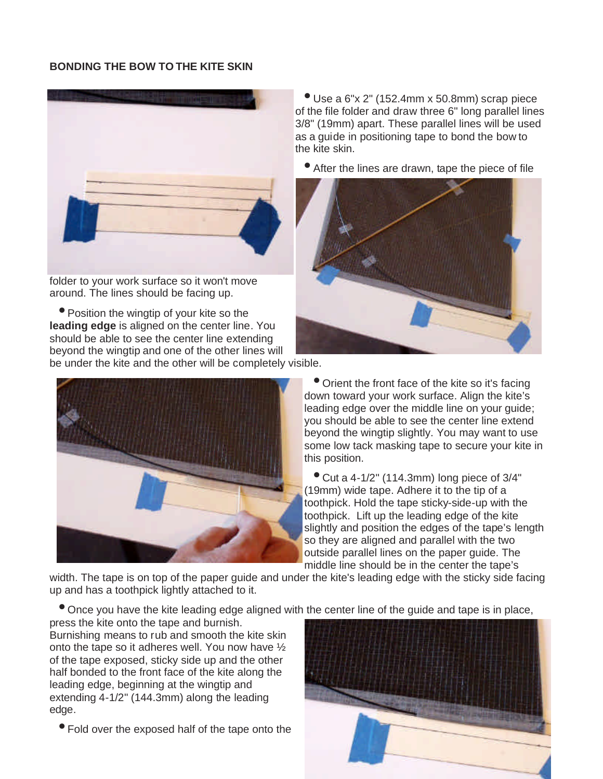#### **BONDING THE BOW TO THE KITE SKIN**



folder to your work surface so it won't move around. The lines should be facing up.

• Position the wingtip of your kite so the **leading edge** is aligned on the center line. You should be able to see the center line extending beyond the wingtip and one of the other lines will be under the kite and the other will be completely visible.



 $\bullet$  Use a 6"x 2" (152.4mm x 50.8mm) scrap piece of the file folder and draw three 6" long parallel lines 3/8" (19mm) apart. These parallel lines will be used as a guide in positioning tape to bond the bow to the kite skin.

• After the lines are drawn, tape the piece of file



• Orient the front face of the kite so it's facing down toward your work surface. Align the kite's leading edge over the middle line on your guide; you should be able to see the center line extend beyond the wingtip slightly. You may want to use some low tack masking tape to secure your kite in this position.

 $\bullet$  Cut a 4-1/2" (114.3mm) long piece of 3/4" (19mm) wide tape. Adhere it to the tip of a toothpick. Hold the tape sticky-side-up with the toothpick. Lift up the leading edge of the kite slightly and position the edges of the tape's length so they are aligned and parallel with the two outside parallel lines on the paper guide. The middle line should be in the center the tape's

width. The tape is on top of the paper guide and under the kite's leading edge with the sticky side facing up and has a toothpick lightly attached to it.

• Once you have the kite leading edge aligned with the center line of the guide and tape is in place,

press the kite onto the tape and burnish. Burnishing means to rub and smooth the kite skin onto the tape so it adheres well. You now have ½ of the tape exposed, sticky side up and the other half bonded to the front face of the kite along the leading edge, beginning at the wingtip and extending 4-1/2" (144.3mm) along the leading edge.

• Fold over the exposed half of the tape onto the

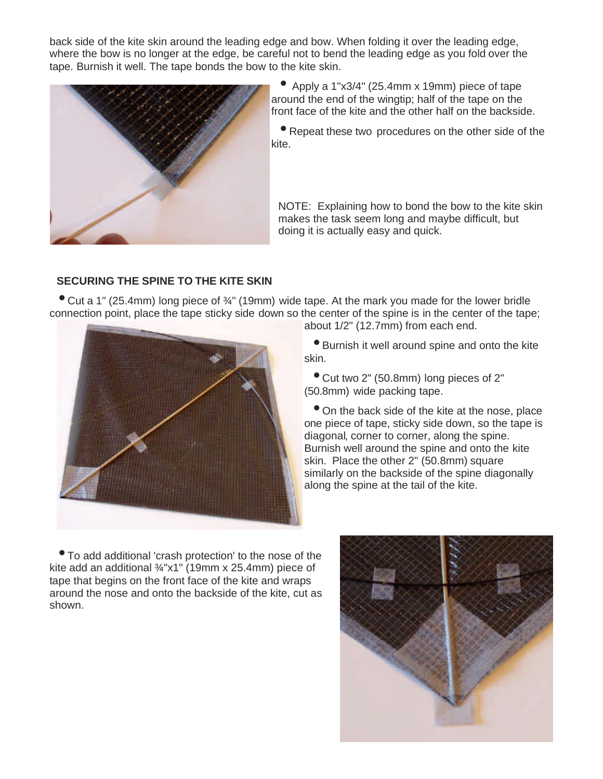back side of the kite skin around the leading edge and bow. When folding it over the leading edge, where the bow is no longer at the edge, be careful not to bend the leading edge as you fold over the tape. Burnish it well. The tape bonds the bow to the kite skin.



• Apply a 1"x3/4" (25.4mm x 19mm) piece of tape around the end of the wingtip; half of the tape on the front face of the kite and the other half on the backside.

• Repeat these two procedures on the other side of the kite.

NOTE: Explaining how to bond the bow to the kite skin makes the task seem long and maybe difficult, but doing it is actually easy and quick.

#### **SECURING THE SPINE TO THE KITE SKIN**

• Cut a 1" (25.4mm) long piece of ¾" (19mm) wide tape. At the mark you made for the lower bridle connection point, place the tape sticky side down so the center of the spine is in the center of the tape;



about 1/2" (12.7mm) from each end. • Burnish it well around spine and onto the kite

• Cut two 2" (50.8mm) long pieces of 2" (50.8mm) wide packing tape.

• On the back side of the kite at the nose, place one piece of tape, sticky side down, so the tape is diagonal, corner to corner, along the spine. Burnish well around the spine and onto the kite skin. Place the other 2" (50.8mm) square similarly on the backside of the spine diagonally along the spine at the tail of the kite.

• To add additional 'crash protection' to the nose of the kite add an additional ¾"x1" (19mm x 25.4mm) piece of tape that begins on the front face of the kite and wraps around the nose and onto the backside of the kite, cut as shown.

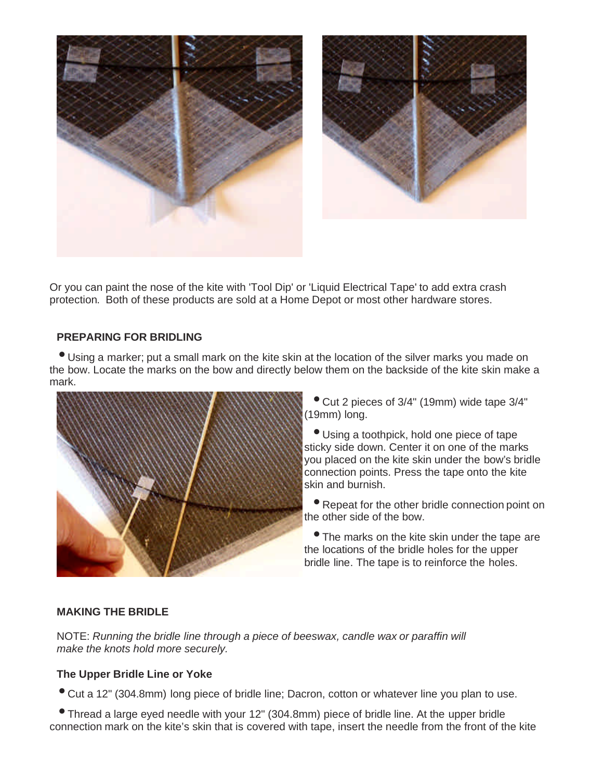

Or you can paint the nose of the kite with 'Tool Dip' or 'Liquid Electrical Tape' to add extra crash protection. Both of these products are sold at a Home Depot or most other hardware stores.

#### **PREPARING FOR BRIDLING**

• Using a marker; put a small mark on the kite skin at the location of the silver marks you made on the bow. Locate the marks on the bow and directly below them on the backside of the kite skin make a mark.



• Cut 2 pieces of 3/4" (19mm) wide tape 3/4" (19mm) long.

• Using a toothpick, hold one piece of tape sticky side down. Center it on one of the marks you placed on the kite skin under the bow's bridle connection points. Press the tape onto the kite skin and burnish.

• Repeat for the other bridle connection point on the other side of the bow.

• The marks on the kite skin under the tape are the locations of the bridle holes for the upper bridle line. The tape is to reinforce the holes.

#### **MAKING THE BRIDLE**

NOTE: *Running the bridle line through a piece of beeswax, candle wax or paraffin will make the knots hold more securely.*

#### **The Upper Bridle Line or Yoke**

• Cut a 12" (304.8mm) long piece of bridle line; Dacron, cotton or whatever line you plan to use.

• Thread a large eyed needle with your 12" (304.8mm) piece of bridle line. At the upper bridle connection mark on the kite's skin that is covered with tape, insert the needle from the front of the kite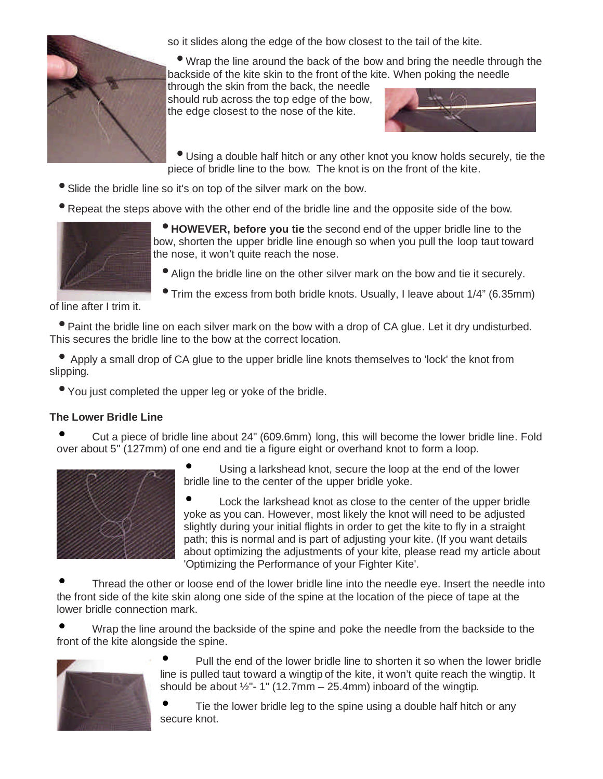

so it slides along the edge of the bow closest to the tail of the kite.

• Wrap the line around the back of the bow and bring the needle through the backside of the kite skin to the front of the kite. When poking the needle

through the skin from the back, the needle should rub across the top edge of the bow, the edge closest to the nose of the kite.



• Using a double half hitch or any other knot you know holds securely, tie the piece of bridle line to the bow. The knot is on the front of the kite.

- Slide the bridle line so it's on top of the silver mark on the bow.
- Repeat the steps above with the other end of the bridle line and the opposite side of the bow.



• **HOWEVER, before you tie** the second end of the upper bridle line to the bow, shorten the upper bridle line enough so when you pull the loop taut toward the nose, it won't quite reach the nose.

• Align the bridle line on the other silver mark on the bow and tie it securely.

• Trim the excess from both bridle knots. Usually, I leave about 1/4" (6.35mm)

of line after I trim it.

• Paint the bridle line on each silver mark on the bow with a drop of CA glue. Let it dry undisturbed. This secures the bridle line to the bow at the correct location.

• Apply a small drop of CA glue to the upper bridle line knots themselves to 'lock' the knot from slipping.

• You just completed the upper leg or yoke of the bridle.

# **The Lower Bridle Line**

• Cut a piece of bridle line about 24" (609.6mm) long, this will become the lower bridle line. Fold over about 5" (127mm) of one end and tie a figure eight or overhand knot to form a loop.



Using a larkshead knot, secure the loop at the end of the lower bridle line to the center of the upper bridle yoke.

• Lock the larkshead knot as close to the center of the upper bridle yoke as you can. However, most likely the knot will need to be adjusted slightly during your initial flights in order to get the kite to fly in a straight path; this is normal and is part of adjusting your kite. (If you want details about optimizing the adjustments of your kite, please read my article about 'Optimizing the Performance of your Fighter Kite'.

Thread the other or loose end of the lower bridle line into the needle eye. Insert the needle into the front side of the kite skin along one side of the spine at the location of the piece of tape at the lower bridle connection mark.

• Wrap the line around the backside of the spine and poke the needle from the backside to the front of the kite alongside the spine.



• Pull the end of the lower bridle line to shorten it so when the lower bridle line is pulled taut toward a wingtip of the kite, it won't quite reach the wingtip. It should be about  $\frac{1}{2}$ "- 1" (12.7mm – 25.4mm) inboard of the wingtip.

Tie the lower bridle leg to the spine using a double half hitch or any secure knot.